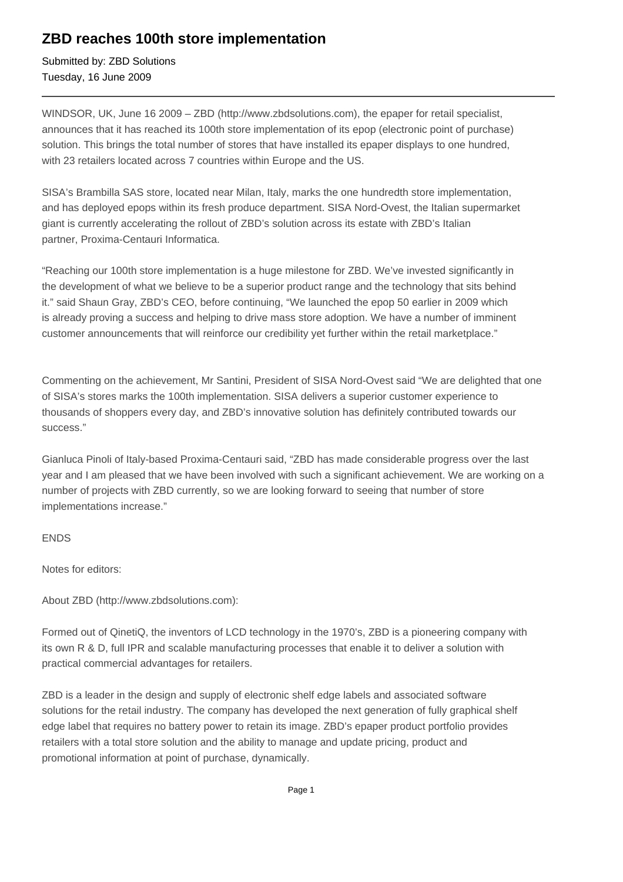## **ZBD reaches 100th store implementation**

Submitted by: ZBD Solutions Tuesday, 16 June 2009

WINDSOR, UK, June 16 2009 – ZBD (http://www.zbdsolutions.com), the epaper for retail specialist, announces that it has reached its 100th store implementation of its epop (electronic point of purchase) solution. This brings the total number of stores that have installed its epaper displays to one hundred, with 23 retailers located across 7 countries within Europe and the US.

SISA's Brambilla SAS store, located near Milan, Italy, marks the one hundredth store implementation, and has deployed epops within its fresh produce department. SISA Nord-Ovest, the Italian supermarket giant is currently accelerating the rollout of ZBD's solution across its estate with ZBD's Italian partner, Proxima-Centauri Informatica.

"Reaching our 100th store implementation is a huge milestone for ZBD. We've invested significantly in the development of what we believe to be a superior product range and the technology that sits behind it." said Shaun Gray, ZBD's CEO, before continuing, "We launched the epop 50 earlier in 2009 which is already proving a success and helping to drive mass store adoption. We have a number of imminent customer announcements that will reinforce our credibility yet further within the retail marketplace."

Commenting on the achievement, Mr Santini, President of SISA Nord-Ovest said "We are delighted that one of SISA's stores marks the 100th implementation. SISA delivers a superior customer experience to thousands of shoppers every day, and ZBD's innovative solution has definitely contributed towards our success."

Gianluca Pinoli of Italy-based Proxima-Centauri said, "ZBD has made considerable progress over the last year and I am pleased that we have been involved with such a significant achievement. We are working on a number of projects with ZBD currently, so we are looking forward to seeing that number of store implementations increase."

## ENDS

Notes for editors:

About ZBD (http://www.zbdsolutions.com):

Formed out of QinetiQ, the inventors of LCD technology in the 1970's, ZBD is a pioneering company with its own R & D, full IPR and scalable manufacturing processes that enable it to deliver a solution with practical commercial advantages for retailers.

ZBD is a leader in the design and supply of electronic shelf edge labels and associated software solutions for the retail industry. The company has developed the next generation of fully graphical shelf edge label that requires no battery power to retain its image. ZBD's epaper product portfolio provides retailers with a total store solution and the ability to manage and update pricing, product and promotional information at point of purchase, dynamically.